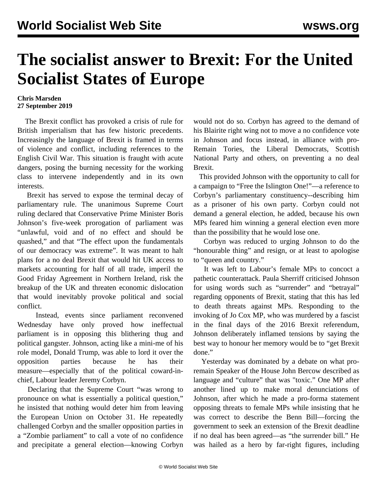## **The socialist answer to Brexit: For the United Socialist States of Europe**

## **Chris Marsden 27 September 2019**

 The Brexit conflict has provoked a crisis of rule for British imperialism that has few historic precedents. Increasingly the language of Brexit is framed in terms of violence and conflict, including references to the English Civil War. This situation is fraught with acute dangers, posing the burning necessity for the working class to intervene independently and in its own interests.

 Brexit has served to expose the terminal decay of parliamentary rule. The unanimous Supreme Court ruling declared that Conservative Prime Minister Boris Johnson's five-week prorogation of parliament was "unlawful, void and of no effect and should be quashed," and that "The effect upon the fundamentals of our democracy was extreme". It was meant to halt plans for a no deal Brexit that would hit UK access to markets accounting for half of all trade, imperil the Good Friday Agreement in Northern Ireland, risk the breakup of the UK and threaten economic dislocation that would inevitably provoke political and social conflict.

 Instead, events since parliament reconvened Wednesday have only proved how ineffectual parliament is in opposing this blithering thug and political gangster. Johnson, acting like a mini-me of his role model, Donald Trump, was able to lord it over the opposition parties because he has their measure—especially that of the political coward-inchief, Labour leader Jeremy Corbyn.

 Declaring that the Supreme Court "was wrong to pronounce on what is essentially a political question," he insisted that nothing would deter him from leaving the European Union on October 31. He repeatedly challenged Corbyn and the smaller opposition parties in a "Zombie parliament" to call a vote of no confidence and precipitate a general election—knowing Corbyn would not do so. Corbyn has agreed to the demand of his Blairite right wing not to move a no confidence vote in Johnson and focus instead, in alliance with pro-Remain Tories, the Liberal Democrats, Scottish National Party and others, on preventing a no deal Brexit.

 This provided Johnson with the opportunity to call for a campaign to "Free the Islington One!"—a reference to Corbyn's parliamentary constituency--describing him as a prisoner of his own party. Corbyn could not demand a general election, he added, because his own MPs feared him winning a general election even more than the possibility that he would lose one.

 Corbyn was reduced to urging Johnson to do the "honourable thing" and resign, or at least to apologise to "queen and country."

 It was left to Labour's female MPs to concoct a pathetic counterattack. Paula Sherriff criticised Johnson for using words such as "surrender" and "betrayal" regarding opponents of Brexit, stating that this has led to death threats against MPs. Responding to the invoking of Jo Cox MP, who was murdered by a fascist in the final days of the 2016 Brexit referendum, Johnson deliberately inflamed tensions by saying the best way to honour her memory would be to "get Brexit done."

 Yesterday was dominated by a debate on what proremain Speaker of the House John Bercow described as language and "culture" that was "toxic." One MP after another lined up to make moral denunciations of Johnson, after which he made a pro-forma statement opposing threats to female MPs while insisting that he was correct to describe the Benn Bill—forcing the government to seek an extension of the Brexit deadline if no deal has been agreed—as "the surrender bill." He was hailed as a hero by far-right figures, including